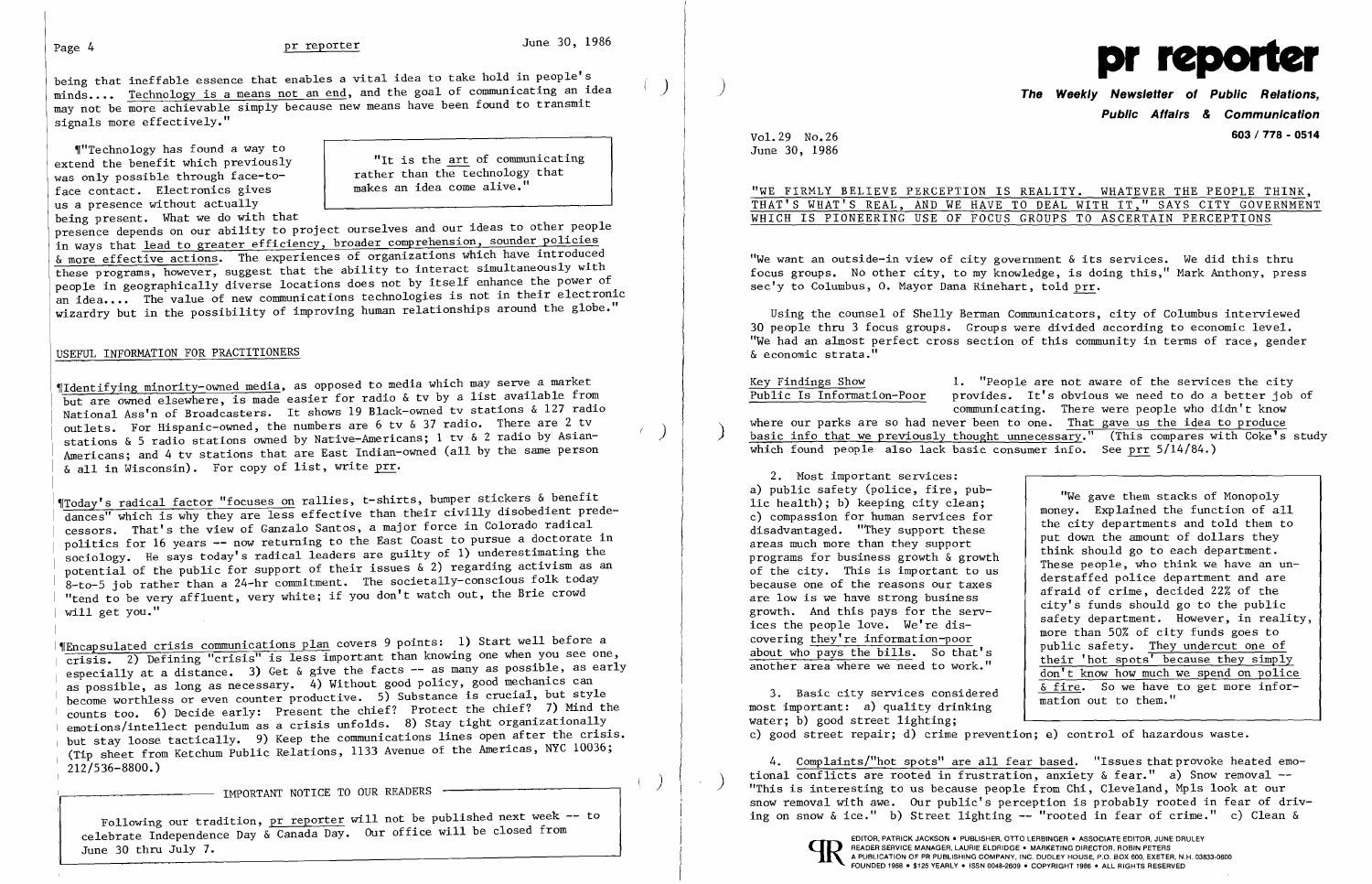$\left( \begin{array}{c} \end{array} \right)$ 

being that ineffable essence that enables a vital idea to take hold in people's minds ) •..• Technology is a means not an end, and the goal of communicating an idea may not be more achievable simply because new means have been found to transmit signals more effectively."

"Technology has found a way to extend the benefit which previously was only possible through face-toface contact. Electronics gives us a presence without actually being present. What we do with that

presence depends on our ability to project ourselves and our ideas to other people in ways that lead to greater efficiency, broader comprehension, sounder policies & more effective actions. The experiences of organizations which have introduced these programs, however, suggest that the ability to interact simultaneously with people in geographically diverse locations does not by itself enhance the power of an idea.... The value of new communications technologies is not in their electronic wizardry but in the possibility of improving human relationships around the globe."

"It is the art of communicating rather than the technology that makes an idea come alive."

## USEFUL INFORMATION FOR PRACTITIONERS

"Identifying minority-owned media, as opposed to media which may serve a market he all the state of the comparison of the contract of the comparison of the comparison of the comparison of the from National Ass'n of Broadcasters. It shows 19 Black-owned tv stations & 127 radio outlets. For Hispanic-owned, the numbers are 6 tv & 37 radio. There are 2 tv stations & 5 radio stations owned by Native-Americans; 1 tv & 2 radio by Asian-Americans; and 4 tv stations that are East Indian-owned (all by the same person & all in Wisconsin). For copy of list, write prr.

 $\P$ Encapsulated crisis communica<u>tions plan</u> covers 9 points:  $\:$  1) Start well before a crisis. 2) Defining "crisis" is less important than knowing one when you see one, especially at a distance. 3) Get & give the facts -- as many as possible, as early as possible, as long as necessary.  $\check{4}$ ) Without good policy, good mechanics can l, ds possibile, as iong as necessary. (A) where is crucial, but style counts too. 6) Decide early: Present the chief? Protect the chief? 7) Mind the emotions/intellect pendulum as a crisis unfolds. 8) Stay tight organizationally but stay loose tactically. 9) Keep the communications lines open after the crisis. (Tip sheet from Ketchum Public Relations, 1133 Avenue of the Americas, NYC 10036; 212/536-8800.)

- IMPORTANT NOTICE TO OUR READERS -

<sup>I</sup>'IToday' s radical factor "focuses on rallies, t-shirts, bumper stickers & benefit dances" which is why they are less effective than their civilly disobedient predecessors. That's the view of Ganzalo Santos, a major force in Colorado radical politics for 16 years -- now returning to the East Coast to pursue a doctorate in sociology. He says today's radical leaders are guilty of 1) underestimating the potential of the public for support of their issues & 2) regarding activism as an 8-to-5 job rather than a 24-hr commitment. The societally-conscious folk today "tend to be very affluent, very white; if you don't watch out, the Brie crowd will get you."

Following our tradition, pr reporter will not be published next week -- to celebrate Independence Day & Canada Day. Our office will be closed from June 30 thru July 7.



VoL 29 No.26 June 30, 1986

# WHICH IS PIONEERING USE OF FOCUS GROUPS TO ASCERTAIN PERCEPTIONS

) **The Weekly Newsletter of Public Relations, Public Affairs**  *&* **Communication 603/ 778 - 0514** 

"WE FIRMLY BELIEVE PERCEPTION IS REALITY. WHATEVER THE PEOPLE THINK, THAT'S WHAT'S REAL, AND WE HAVE TO DEAL WITH IT," SAYS CITY GOVERNMENT

"We want an outside-in view of city government & its services. We did this thru focus groups. No other city, to my knowledge, is doing this," Mark Anthony, press sec'y to Columbus, o. Mayor Dana Rinehart, told prr.

Using the counsel of Shelly Berman Communicators, city of Columbus interviewed 30 people thru 3 focus groups. Groups were divided according to economic level. "We had an almost perfect cross section of this community in terms of race, gender & economic strata."

Key Findings Show 1. "People are not aware of the services the city<br>Public Is Information-Poor provides. It's obvious we need to do a better job provides. It's obvious we need to do a better job of communicating. There were people who didn't know<br>where our parks are so had never been to one. That gave us the idea to produce

where our parks are so had never been to one. That gave us the idea to produce basic info that we previously thought unnecessary." (This compares with Coke's study which found people also lack basic consumer info. See prr 5/14/84.)

2. Most important services: a) public safety (police, fire, public health); b) keeping city clean; c) compassion for human services for disadvantaged. "They support these areas much more than they support programs for business growth & growth of the city. This is important to us because one of the reasons our taxes are low is we have strong business growth. And this pays for the services the people love. We're discovering they're information-poor about who pays the bills. So that's another area where we need to work."

3. Basic city services considered most important: a) quality drinking water; b) good street lighting; mation out to them." c) good street repair; d) crime prevention; e) control of hazardous waste.

"We gave them stacks of Monopoly money. Explained the function of all the city departments and told them to put down the amount of dollars they think should go to each department. These people, who think we have an understaffed police department and are afraid of crime, decided 22% of the city's funds should go to the public safety department. However, in reality, more than 50% of city funds goes to public safety. They undercut one of their 'hot spots' because they simply don't know how much we spend on police & fire. So we have to get more infor-

4. Complaints/"hot spots" are all fear based. "Issues that provoke heated emotional conflicts are rooted in frustration, anxiety & fear." a) Snow removal --<br>"This is interesting to us because people from Chi, Cleveland, Mpls look at our snow removal with awe. Our public's perception is probably rooted in fear of driving on snow & ice." b) Street lighting -- "rooted in fear of crime." c) Clean &

READER SERVICE MANAGER, LAURIE ELDRIDGE · MARKETING DIRECTOR, ROBIN PETERS<br>A PUBLICATION OF PR PUBLISHING COMPANY, INC. DUDLEY HOUSE, P.O. BOX 600, EXETER<br>FOUNDED 1958 · \$125 YEARLY · ISSN 0048-2609 · COPYRIGHT 1986 · ALL